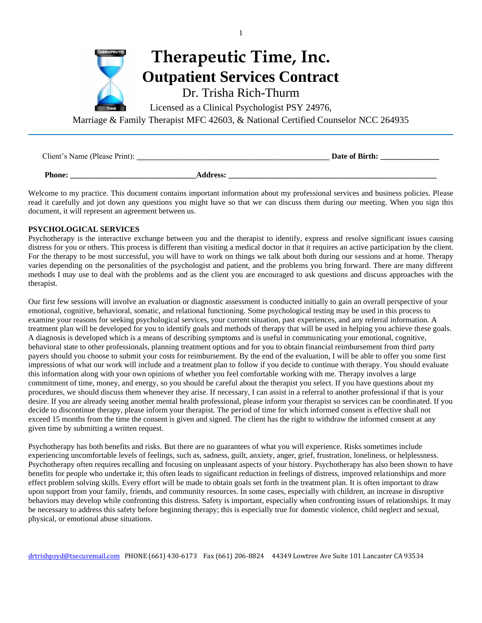

1

| Client's Name (Please Print): |                | Date of Birth: |
|-------------------------------|----------------|----------------|
| <b>Phone:</b>                 | <b>Address</b> |                |

Welcome to my practice. This document contains important information about my professional services and business policies. Please read it carefully and jot down any questions you might have so that we can discuss them during our meeting. When you sign this document, it will represent an agreement between us.

# **PSYCHOLOGICAL SERVICES**

Psychotherapy is the interactive exchange between you and the therapist to identify, express and resolve significant issues causing distress for you or others. This process is different than visiting a medical doctor in that it requires an active participation by the client. For the therapy to be most successful, you will have to work on things we talk about both during our sessions and at home. Therapy varies depending on the personalities of the psychologist and patient, and the problems you bring forward. There are many different methods I may use to deal with the problems and as the client you are encouraged to ask questions and discuss approaches with the therapist.

Our first few sessions will involve an evaluation or diagnostic assessment is conducted initially to gain an overall perspective of your emotional, cognitive, behavioral, somatic, and relational functioning. Some psychological testing may be used in this process to examine your reasons for seeking psychological services, your current situation, past experiences, and any referral information. A treatment plan will be developed for you to identify goals and methods of therapy that will be used in helping you achieve these goals. A diagnosis is developed which is a means of describing symptoms and is useful in communicating your emotional, cognitive, behavioral state to other professionals, planning treatment options and for you to obtain financial reimbursement from third party payers should you choose to submit your costs for reimbursement. By the end of the evaluation, I will be able to offer you some first impressions of what our work will include and a treatment plan to follow if you decide to continue with therapy. You should evaluate this information along with your own opinions of whether you feel comfortable working with me. Therapy involves a large commitment of time, money, and energy, so you should be careful about the therapist you select. If you have questions about my procedures, we should discuss them whenever they arise. If necessary, I can assist in a referral to another professional if that is your desire. If you are already seeing another mental health professional, please inform your therapist so services can be coordinated. If you decide to discontinue therapy, please inform your therapist. The period of time for which informed consent is effective shall not exceed 15 months from the time the consent is given and signed. The client has the right to withdraw the informed consent at any given time by submitting a written request.

Psychotherapy has both benefits and risks. But there are no guarantees of what you will experience. Risks sometimes include experiencing uncomfortable levels of feelings, such as, sadness, guilt, anxiety, anger, grief, frustration, loneliness, or helplessness. Psychotherapy often requires recalling and focusing on unpleasant aspects of your history. Psychotherapy has also been shown to have benefits for people who undertake it; this often leads to significant reduction in feelings of distress, improved relationships and more effect problem solving skills. Every effort will be made to obtain goals set forth in the treatment plan. It is often important to draw upon support from your family, friends, and community resources. In some cases, especially with children, an increase in disruptive behaviors may develop while confronting this distress. Safety is important, especially when confronting issues of relationships. It may be necessary to address this safety before beginning therapy; this is especially true for domestic violence, child neglect and sexual, physical, or emotional abuse situations.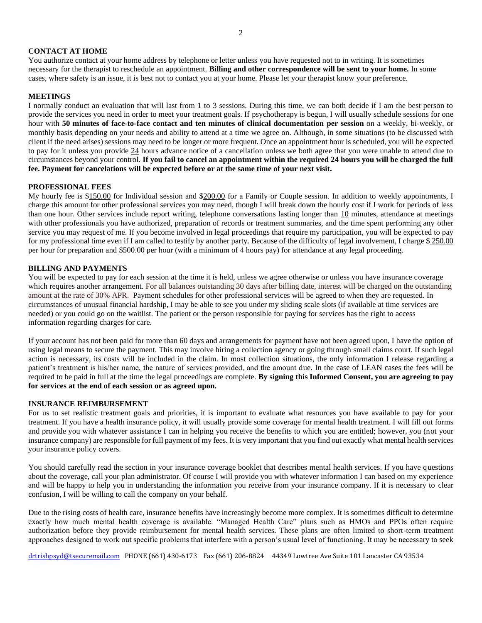## **CONTACT AT HOME**

You authorize contact at your home address by telephone or letter unless you have requested not to in writing. It is sometimes necessary for the therapist to reschedule an appointment. **Billing and other correspondence will be sent to your home.** In some cases, where safety is an issue, it is best not to contact you at your home. Please let your therapist know your preference.

## **MEETINGS**

I normally conduct an evaluation that will last from 1 to 3 sessions. During this time, we can both decide if I am the best person to provide the services you need in order to meet your treatment goals. If psychotherapy is begun, I will usually schedule sessions for one hour with **50 minutes of face-to-face contact and ten minutes of clinical documentation per session** on a weekly, bi-weekly, or monthly basis depending on your needs and ability to attend at a time we agree on. Although, in some situations (to be discussed with client if the need arises) sessions may need to be longer or more frequent. Once an appointment hour is scheduled, you will be expected to pay for it unless you provide 24 hours advance notice of a cancellation unless we both agree that you were unable to attend due to circumstances beyond your control. **If you fail to cancel an appointment within the required 24 hours you will be charged the full fee. Payment for cancelations will be expected before or at the same time of your next visit.**

## **PROFESSIONAL FEES**

My hourly fee is \$150.00 for Individual session and \$200.00 for a Family or Couple session. In addition to weekly appointments, I charge this amount for other professional services you may need, though I will break down the hourly cost if I work for periods of less than one hour. Other services include report writing, telephone conversations lasting longer than 10 minutes, attendance at meetings with other professionals you have authorized, preparation of records or treatment summaries, and the time spent performing any other service you may request of me. If you become involved in legal proceedings that require my participation, you will be expected to pay for my professional time even if I am called to testify by another party. Because of the difficulty of legal involvement, I charge \$ 250.00 per hour for preparation and \$500.00 per hour (with a minimum of 4 hours pay) for attendance at any legal proceeding.

## **BILLING AND PAYMENTS**

You will be expected to pay for each session at the time it is held, unless we agree otherwise or unless you have insurance coverage which requires another arrangement. For all balances outstanding 30 days after billing date, interest will be charged on the outstanding amount at the rate of 30% APR. Payment schedules for other professional services will be agreed to when they are requested. In circumstances of unusual financial hardship, I may be able to see you under my sliding scale slots (if available at time services are needed) or you could go on the waitlist. The patient or the person responsible for paying for services has the right to access information regarding charges for care.

If your account has not been paid for more than 60 days and arrangements for payment have not been agreed upon, I have the option of using legal means to secure the payment. This may involve hiring a collection agency or going through small claims court. If such legal action is necessary, its costs will be included in the claim. In most collection situations, the only information I release regarding a patient's treatment is his/her name, the nature of services provided, and the amount due. In the case of LEAN cases the fees will be required to be paid in full at the time the legal proceedings are complete. **By signing this Informed Consent, you are agreeing to pay for services at the end of each session or as agreed upon.**

### **INSURANCE REIMBURSEMENT**

For us to set realistic treatment goals and priorities, it is important to evaluate what resources you have available to pay for your treatment. If you have a health insurance policy, it will usually provide some coverage for mental health treatment. I will fill out forms and provide you with whatever assistance I can in helping you receive the benefits to which you are entitled; however, you (not your insurance company) are responsible for full payment of my fees. It is very important that you find out exactly what mental health services your insurance policy covers.

You should carefully read the section in your insurance coverage booklet that describes mental health services. If you have questions about the coverage, call your plan administrator. Of course I will provide you with whatever information I can based on my experience and will be happy to help you in understanding the information you receive from your insurance company. If it is necessary to clear confusion, I will be willing to call the company on your behalf.

Due to the rising costs of health care, insurance benefits have increasingly become more complex. It is sometimes difficult to determine exactly how much mental health coverage is available. "Managed Health Care" plans such as HMOs and PPOs often require authorization before they provide reimbursement for mental health services. These plans are often limited to short-term treatment approaches designed to work out specific problems that interfere with a person's usual level of functioning. It may be necessary to seek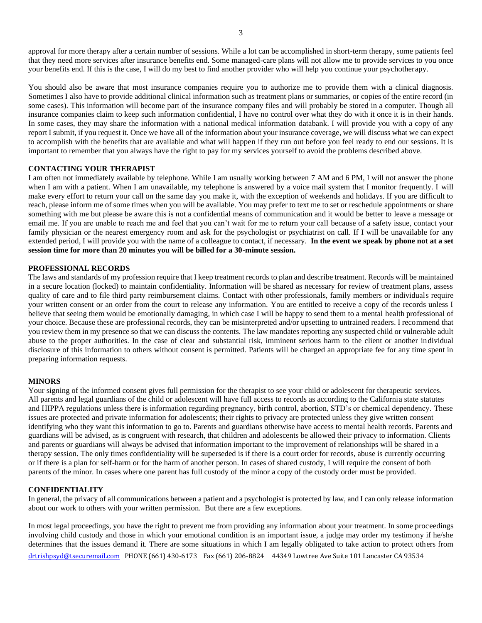approval for more therapy after a certain number of sessions. While a lot can be accomplished in short-term therapy, some patients feel that they need more services after insurance benefits end. Some managed-care plans will not allow me to provide services to you once your benefits end. If this is the case, I will do my best to find another provider who will help you continue your psychotherapy.

You should also be aware that most insurance companies require you to authorize me to provide them with a clinical diagnosis. Sometimes I also have to provide additional clinical information such as treatment plans or summaries, or copies of the entire record (in some cases). This information will become part of the insurance company files and will probably be stored in a computer. Though all insurance companies claim to keep such information confidential, I have no control over what they do with it once it is in their hands. In some cases, they may share the information with a national medical information databank. I will provide you with a copy of any report I submit, if you request it. Once we have all of the information about your insurance coverage, we will discuss what we can expect to accomplish with the benefits that are available and what will happen if they run out before you feel ready to end our sessions. It is important to remember that you always have the right to pay for my services yourself to avoid the problems described above.

### **CONTACTING YOUR THERAPIST**

I am often not immediately available by telephone. While I am usually working between 7 AM and 6 PM, I will not answer the phone when I am with a patient. When I am unavailable, my telephone is answered by a voice mail system that I monitor frequently. I will make every effort to return your call on the same day you make it, with the exception of weekends and holidays. If you are difficult to reach, please inform me of some times when you will be available. You may prefer to text me to set or reschedule appointments or share something with me but please be aware this is not a confidential means of communication and it would be better to leave a message or email me. If you are unable to reach me and feel that you can't wait for me to return your call because of a safety issue, contact your family physician or the nearest emergency room and ask for the psychologist or psychiatrist on call. If I will be unavailable for any extended period, I will provide you with the name of a colleague to contact, if necessary. **In the event we speak by phone not at a set session time for more than 20 minutes you will be billed for a 30-minute session.** 

### **PROFESSIONAL RECORDS**

The laws and standards of my profession require that I keep treatment records to plan and describe treatment. Records will be maintained in a secure location (locked) to maintain confidentiality. Information will be shared as necessary for review of treatment plans, assess quality of care and to file third party reimbursement claims. Contact with other professionals, family members or individuals require your written consent or an order from the court to release any information. You are entitled to receive a copy of the records unless I believe that seeing them would be emotionally damaging, in which case I will be happy to send them to a mental health professional of your choice. Because these are professional records, they can be misinterpreted and/or upsetting to untrained readers. I recommend that you review them in my presence so that we can discuss the contents. The law mandates reporting any suspected child or vulnerable adult abuse to the proper authorities. In the case of clear and substantial risk, imminent serious harm to the client or another individual disclosure of this information to others without consent is permitted. Patients will be charged an appropriate fee for any time spent in preparing information requests.

#### **MINORS**

Your signing of the informed consent gives full permission for the therapist to see your child or adolescent for therapeutic services. All parents and legal guardians of the child or adolescent will have full access to records as according to the California state statutes and HIPPA regulations unless there is information regarding pregnancy, birth control, abortion, STD's or chemical dependency. These issues are protected and private information for adolescents; their rights to privacy are protected unless they give written consent identifying who they want this information to go to. Parents and guardians otherwise have access to mental health records. Parents and guardians will be advised, as is congruent with research, that children and adolescents be allowed their privacy to information. Clients and parents or guardians will always be advised that information important to the improvement of relationships will be shared in a therapy session. The only times confidentiality will be superseded is if there is a court order for records, abuse is currently occurring or if there is a plan for self-harm or for the harm of another person. In cases of shared custody, I will require the consent of both parents of the minor. In cases where one parent has full custody of the minor a copy of the custody order must be provided.

### **CONFIDENTIALITY**

In general, the privacy of all communications between a patient and a psychologist is protected by law, and I can only release information about our work to others with your written permission. But there are a few exceptions.

In most legal proceedings, you have the right to prevent me from providing any information about your treatment. In some proceedings involving child custody and those in which your emotional condition is an important issue, a judge may order my testimony if he/she determines that the issues demand it. There are some situations in which I am legally obligated to take action to protect others from